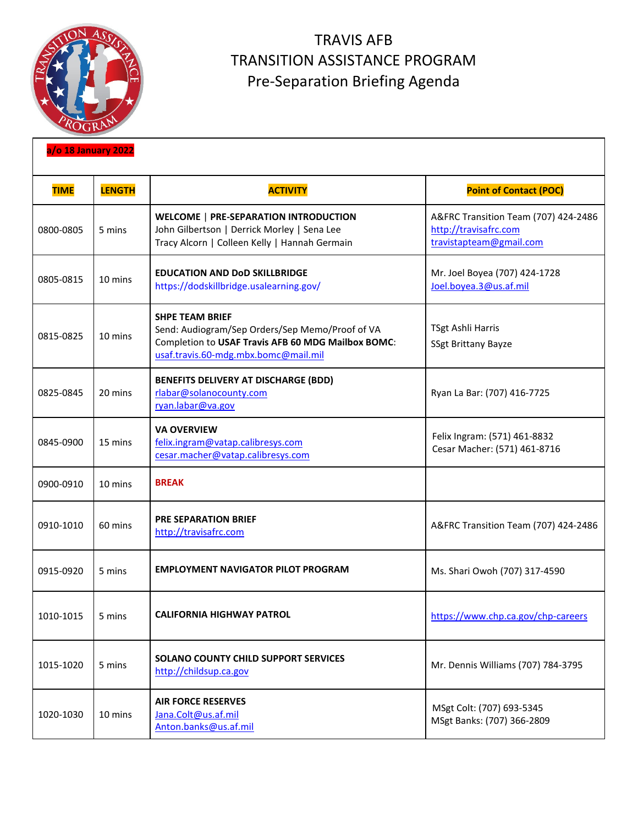

## TRAVIS AFB TRANSITION ASSISTANCE PROGRAM Pre-Separation Briefing Agenda

| a/o 18 January 2022 |               |                                                                                                                                                                         |                                                                                          |  |  |
|---------------------|---------------|-------------------------------------------------------------------------------------------------------------------------------------------------------------------------|------------------------------------------------------------------------------------------|--|--|
| <b>TIME</b>         | <b>LENGTH</b> | <b>ACTIVITY</b>                                                                                                                                                         | <b>Point of Contact (POC)</b>                                                            |  |  |
| 0800-0805           | 5 mins        | <b>WELCOME   PRE-SEPARATION INTRODUCTION</b><br>John Gilbertson   Derrick Morley   Sena Lee<br>Tracy Alcorn   Colleen Kelly   Hannah Germain                            | A&FRC Transition Team (707) 424-2486<br>http://travisafrc.com<br>travistapteam@gmail.com |  |  |
| 0805-0815           | 10 mins       | <b>EDUCATION AND DoD SKILLBRIDGE</b><br>https://dodskillbridge.usalearning.gov/                                                                                         | Mr. Joel Boyea (707) 424-1728<br>Joel.boyea.3@us.af.mil                                  |  |  |
| 0815-0825           | 10 mins       | <b>SHPE TEAM BRIEF</b><br>Send: Audiogram/Sep Orders/Sep Memo/Proof of VA<br>Completion to USAF Travis AFB 60 MDG Mailbox BOMC:<br>usaf.travis.60-mdg.mbx.bomc@mail.mil | TSgt Ashli Harris<br>SSgt Brittany Bayze                                                 |  |  |
| 0825-0845           | 20 mins       | <b>BENEFITS DELIVERY AT DISCHARGE (BDD)</b><br>rlabar@solanocounty.com<br>ryan.labar@va.gov                                                                             | Ryan La Bar: (707) 416-7725                                                              |  |  |
| 0845-0900           | 15 mins       | <b>VA OVERVIEW</b><br>felix.ingram@vatap.calibresys.com<br>cesar.macher@vatap.calibresys.com                                                                            | Felix Ingram: (571) 461-8832<br>Cesar Macher: (571) 461-8716                             |  |  |
| 0900-0910           | 10 mins       | <b>BREAK</b>                                                                                                                                                            |                                                                                          |  |  |
| 0910-1010           | 60 mins       | <b>PRE SEPARATION BRIEF</b><br>http://travisafrc.com                                                                                                                    | A&FRC Transition Team (707) 424-2486                                                     |  |  |
| 0915-0920           | 5 mins        | <b>EMPLOYMENT NAVIGATOR PILOT PROGRAM</b>                                                                                                                               | Ms. Shari Owoh (707) 317-4590                                                            |  |  |
| 1010-1015           | 5 mins        | <b>CALIFORNIA HIGHWAY PATROL</b>                                                                                                                                        | https://www.chp.ca.gov/chp-careers                                                       |  |  |
| 1015-1020           | 5 mins        | SOLANO COUNTY CHILD SUPPORT SERVICES<br>http://childsup.ca.gov                                                                                                          | Mr. Dennis Williams (707) 784-3795                                                       |  |  |
| 1020-1030           | 10 mins       | <b>AIR FORCE RESERVES</b><br>Jana.Colt@us.af.mil<br>Anton.banks@us.af.mil                                                                                               | MSgt Colt: (707) 693-5345<br>MSgt Banks: (707) 366-2809                                  |  |  |